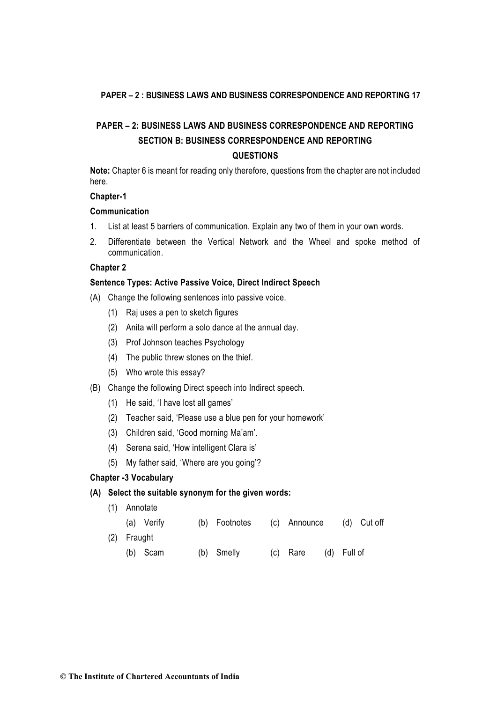# **PAPER – 2: BUSINESS LAWS AND BUSINESS CORRESPONDENCE AND REPORTING SECTION B: BUSINESS CORRESPONDENCE AND REPORTING QUESTIONS**

**Note:** Chapter 6 is meant for reading only therefore, questions from the chapter are not included here.

## **Chapter-1**

## **Communication**

- 1. List at least 5 barriers of communication. Explain any two of them in your own words.
- 2. Differentiate between the Vertical Network and the Wheel and spoke method of communication.

## **Chapter 2**

## **Sentence Types: Active Passive Voice, Direct Indirect Speech**

- (A) Change the following sentences into passive voice.
	- (1) Raj uses a pen to sketch figures
	- (2) Anita will perform a solo dance at the annual day.
	- (3) Prof Johnson teaches Psychology
	- (4) The public threw stones on the thief.
	- (5) Who wrote this essay?
- (B) Change the following Direct speech into Indirect speech.
	- (1) He said, 'I have lost all games'
	- (2) Teacher said, 'Please use a blue pen for your homework'
	- (3) Children said, 'Good morning Ma'am'.
	- (4) Serena said, 'How intelligent Clara is'
	- (5) My father said, 'Where are you going'?

#### **Chapter -3 Vocabulary**

#### **(A) Select the suitable synonym for the given words:**

(1) Annotate

| (a) Verify  | (b) Footnotes | (c) Announce         | (d) Cut off |
|-------------|---------------|----------------------|-------------|
| (2) Fraught |               |                      |             |
| (b) Scam    | (b) Smelly    | (c) Rare (d) Full of |             |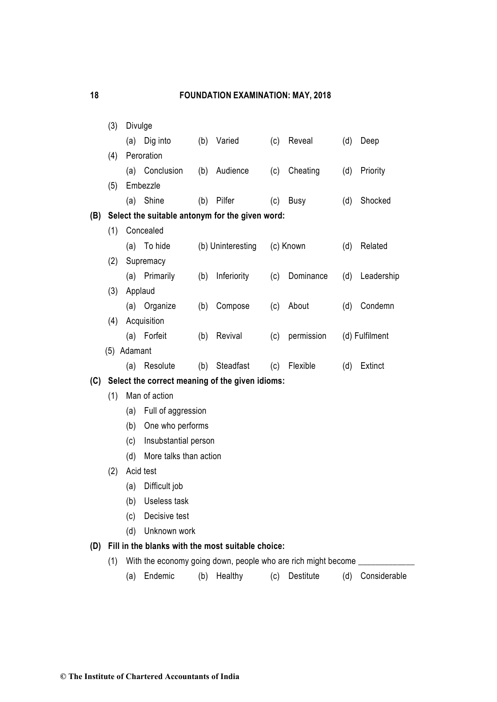|     | (3)         | Divulge                                         |                                                                                                                        |     |                   |     |                  |     |                |
|-----|-------------|-------------------------------------------------|------------------------------------------------------------------------------------------------------------------------|-----|-------------------|-----|------------------|-----|----------------|
|     |             |                                                 | (a) Dig into                                                                                                           |     | (b) Varied        | (c) | Reveal           | (d) | Deep           |
|     | (4)         |                                                 | Peroration                                                                                                             |     |                   |     |                  |     |                |
|     |             |                                                 | (a) Conclusion                                                                                                         |     | (b) Audience      | (c) | Cheating         | (d) | Priority       |
|     | (5)         |                                                 | Embezzle                                                                                                               |     |                   |     |                  |     |                |
|     |             |                                                 | (a) Shine                                                                                                              | (b) | Pilfer            | (c) | <b>Busy</b>      | (d) | Shocked        |
| (B) |             | Select the suitable antonym for the given word: |                                                                                                                        |     |                   |     |                  |     |                |
|     | (1)         | Concealed                                       |                                                                                                                        |     |                   |     |                  |     |                |
|     |             |                                                 | (a) To hide                                                                                                            |     | (b) Uninteresting |     | (c) Known        | (d) | Related        |
|     | (2)         |                                                 | Supremacy                                                                                                              |     |                   |     |                  |     |                |
|     |             |                                                 | (a) Primarily                                                                                                          | (b) | Inferiority       | (c) | Dominance        | (d) | Leadership     |
|     | (3)         | Applaud                                         |                                                                                                                        |     |                   |     |                  |     |                |
|     |             |                                                 | (a) Organize                                                                                                           | (b) | Compose           | (c) | About            | (d) | Condemn        |
|     | (4)         |                                                 | Acquisition                                                                                                            |     |                   |     |                  |     |                |
|     |             |                                                 | (a) Forfeit                                                                                                            | (b) | Revival           | (c) | permission       |     | (d) Fulfilment |
|     | (5) Adamant |                                                 |                                                                                                                        |     |                   |     |                  |     |                |
|     |             |                                                 | (a) Resolute                                                                                                           | (b) | Steadfast         | (c) | Flexible         | (d) | Extinct        |
| (C) |             |                                                 | Select the correct meaning of the given idioms:                                                                        |     |                   |     |                  |     |                |
|     | (1)         | Man of action                                   |                                                                                                                        |     |                   |     |                  |     |                |
|     |             | (a)                                             | Full of aggression                                                                                                     |     |                   |     |                  |     |                |
|     |             | One who performs<br>(b)                         |                                                                                                                        |     |                   |     |                  |     |                |
|     |             | (c)<br>Insubstantial person                     |                                                                                                                        |     |                   |     |                  |     |                |
|     |             | More talks than action<br>(d)                   |                                                                                                                        |     |                   |     |                  |     |                |
|     | (2)         |                                                 | Acid test                                                                                                              |     |                   |     |                  |     |                |
|     |             | (a)                                             | Difficult job                                                                                                          |     |                   |     |                  |     |                |
|     |             | (b)                                             | Useless task                                                                                                           |     |                   |     |                  |     |                |
|     |             | (c)                                             | Decisive test                                                                                                          |     |                   |     |                  |     |                |
|     |             | (d)                                             | Unknown work                                                                                                           |     |                   |     |                  |     |                |
| (D) |             |                                                 | Fill in the blanks with the most suitable choice:<br>With the economy going down, people who are rich might become ___ |     |                   |     |                  |     |                |
|     | (1)         |                                                 | Endemic                                                                                                                |     | Healthy           |     | <b>Destitute</b> | (d) | Considerable   |
|     |             | (a)                                             |                                                                                                                        | (b) |                   | (c) |                  |     |                |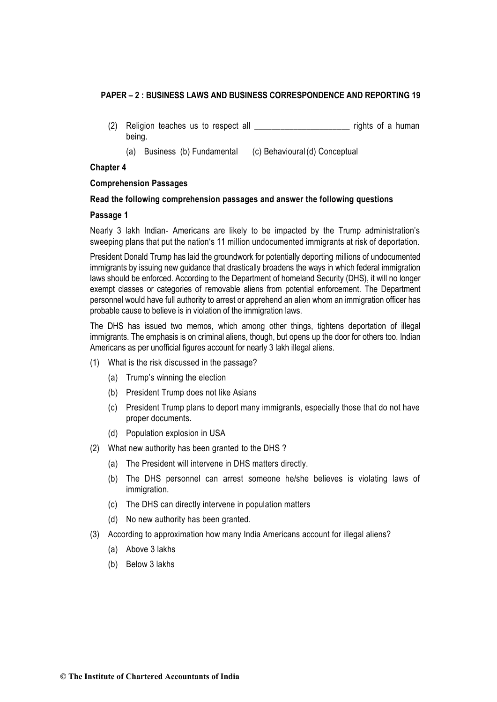- (2) Religion teaches us to respect all example the rights of a human being.
	- (a) Business (b) Fundamental (c) Behavioural(d) Conceptual

## **Chapter 4**

## **Comprehension Passages**

## **Read the following comprehension passages and answer the following questions**

## **Passage 1**

Nearly 3 lakh Indian- Americans are likely to be impacted by the Trump administration's sweeping plans that put the nation's 11 million undocumented immigrants at risk of deportation.

President Donald Trump has laid the groundwork for potentially deporting millions of undocumented immigrants by issuing new guidance that drastically broadens the ways in which federal immigration laws should be enforced. According to the Department of homeland Security (DHS), it will no longer exempt classes or categories of removable aliens from potential enforcement. The Department personnel would have full authority to arrest or apprehend an alien whom an immigration officer has probable cause to believe is in violation of the immigration laws.

The DHS has issued two memos, which among other things, tightens deportation of illegal immigrants. The emphasis is on criminal aliens, though, but opens up the door for others too. Indian Americans as per unofficial figures account for nearly 3 lakh illegal aliens.

- (1) What is the risk discussed in the passage?
	- (a) Trump's winning the election
	- (b) President Trump does not like Asians
	- (c) President Trump plans to deport many immigrants, especially those that do not have proper documents.
	- (d) Population explosion in USA
- (2) What new authority has been granted to the DHS ?
	- (a) The President will intervene in DHS matters directly.
	- (b) The DHS personnel can arrest someone he/she believes is violating laws of immigration.
	- (c) The DHS can directly intervene in population matters
	- (d) No new authority has been granted.
- (3) According to approximation how many India Americans account for illegal aliens?
	- (a) Above 3 lakhs
	- (b) Below 3 lakhs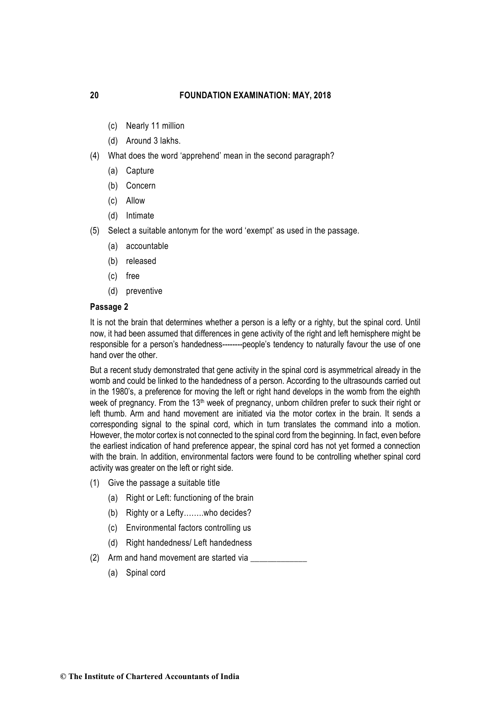- (c) Nearly 11 million
- (d) Around 3 lakhs.
- (4) What does the word 'apprehend' mean in the second paragraph?
	- (a) Capture
	- (b) Concern
	- (c) Allow
	- (d) Intimate
- (5) Select a suitable antonym for the word 'exempt' as used in the passage.
	- (a) accountable
	- (b) released
	- (c) free
	- (d) preventive

#### **Passage 2**

It is not the brain that determines whether a person is a lefty or a righty, but the spinal cord. Until now, it had been assumed that differences in gene activity of the right and left hemisphere might be responsible for a person's handedness--------people's tendency to naturally favour the use of one hand over the other.

But a recent study demonstrated that gene activity in the spinal cord is asymmetrical already in the womb and could be linked to the handedness of a person. According to the ultrasounds carried out in the 1980's, a preference for moving the left or right hand develops in the womb from the eighth week of pregnancy. From the 13<sup>th</sup> week of pregnancy, unborn children prefer to suck their right or left thumb. Arm and hand movement are initiated via the motor cortex in the brain. It sends a corresponding signal to the spinal cord, which in turn translates the command into a motion. However, the motor cortex is not connected to the spinal cord from the beginning. In fact, even before the earliest indication of hand preference appear, the spinal cord has not yet formed a connection with the brain. In addition, environmental factors were found to be controlling whether spinal cord activity was greater on the left or right side.

- (1) Give the passage a suitable title
	- (a) Right or Left: functioning of the brain
	- (b) Righty or a Lefty……..who decides?
	- (c) Environmental factors controlling us
	- (d) Right handedness/ Left handedness
- (2) Arm and hand movement are started via
	- (a) Spinal cord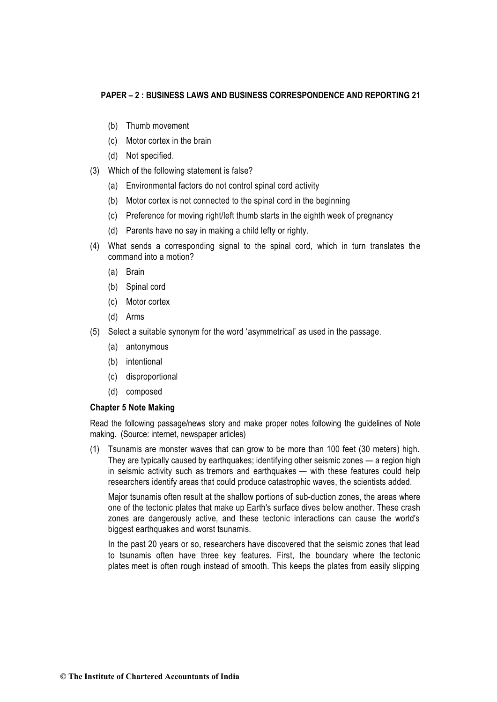- (b) Thumb movement
- (c) Motor cortex in the brain
- (d) Not specified.
- (3) Which of the following statement is false?
	- (a) Environmental factors do not control spinal cord activity
	- (b) Motor cortex is not connected to the spinal cord in the beginning
	- (c) Preference for moving right/left thumb starts in the eighth week of pregnancy
	- (d) Parents have no say in making a child lefty or righty.
- (4) What sends a corresponding signal to the spinal cord, which in turn translates the command into a motion?
	- (a) Brain
	- (b) Spinal cord
	- (c) Motor cortex
	- (d) Arms
- (5) Select a suitable synonym for the word 'asymmetrical' as used in the passage.
	- (a) antonymous
	- (b) intentional
	- (c) disproportional
	- (d) composed

## **Chapter 5 Note Making**

Read the following passage/news story and make proper notes following the guidelines of Note making. (Source: internet, newspaper articles)

(1) Tsunamis are monster waves that can grow to be more than 100 feet (30 meters) high. They are typically caused by earthquakes; identifying other seismic zones — a region high in seismic activity such as [tremors and earthquakes](https://www.livescience.com/topics/earthquakes) — with these features could help researchers identify areas that could produce catastrophic waves, the scientists added.

Major tsunamis often result at the shallow portions of [sub-duction zones,](https://www.livescience.com/43220-subduction-zone-definition.html) the areas where one of the tectonic plates that make up Earth's surface dives below another. These crash zones are dangerously active, and these tectonic interactions can cause the world's biggest earthquakes and worst tsunamis.

In the past 20 years or so, researchers have discovered that the seismic zones that lead to tsunamis often have three key features. First, the boundary where the [tectonic](https://www.livescience.com/37706-what-is-plate-tectonics.html)  [plates](https://www.livescience.com/37706-what-is-plate-tectonics.html) meet is often rough instead of smooth. This keeps the plates from easily slipping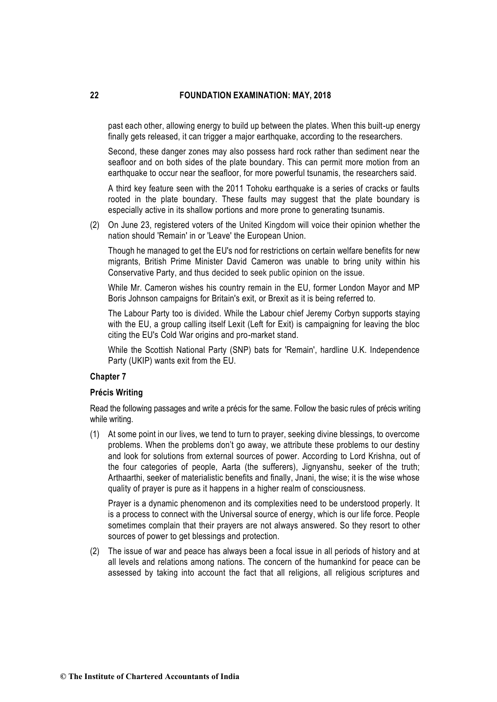past each other, allowing energy to build up between the plates. When this built-up energy finally gets released, it can trigger a major earthquake, according to the researchers.

Second, these danger zones may also possess hard rock rather than sediment near the seafloor and on both sides of the plate boundary. This can permit more motion from an earthquake to occur near the seafloor, for more powerful tsunamis, the researchers said.

A third key feature seen with the 2011 Tohoku earthquake is a series of cracks or faults rooted in the plate boundary. These faults may suggest that the plate boundary is especially active in its shallow portions and more prone to generating tsunamis.

(2) On June 23, registered voters of the [United Kingdom](http://www.thehindu.com/tag/417-244/united-kingdom/?utm=bodytag) will voice their opinion whether the nation should 'Remain' in or 'Leave' the European Union.

Though he managed to get the EU's nod for restrictions on certain welfare benefits for new migrants, British Prime Minister David Cameron was unable to bring unity within his Conservative Party, and thus [decided to seek public opinion](http://www.thehindu.com/news/international/after-striking-deal-with-eu-cameron-calls-for-referendum/article8262031.ece) on the issue.

While Mr. Cameron wishes his country remain in the EU, former London Mayor and MP Boris Johnson campaigns for Britain's exit, or Brexit as it is being referred to.

The Labour Party too is [divided.](http://www.thehindu.com/news/international/left-in-the-uk-is-divided-on-eu-membership/article8660901.ece) While the Labour chief Jeremy Corbyn supports staying with the EU, a group calling itself Lexit (Left for Exit) is campaigning for leaving the bloc citing the EU's Cold War origins and pro-market stand.

While the Scottish National Party (SNP) bats for 'Remain', hardline U.K. Independence Party (UKIP) wants exit from the EU.

#### **Chapter 7**

#### **Précis Writing**

Read the following passages and write a précis for the same. Follow the basic rules of précis writing while writing.

(1) At some point in our lives, we tend to turn to prayer, seeking divine blessings, to overcome problems. When the problems don't go away, we attribute these problems to our destiny and look for solutions from external sources of power. According to Lord Krishna, out of the four categories of people, Aarta (the sufferers), Jignyanshu, seeker of the truth; Arthaarthi, seeker of materialistic benefits and finally, Jnani, the wise; it is the wise whose quality of prayer is pure as it happens in a higher realm of consciousness.

Prayer is a dynamic phenomenon and its complexities need to be understood properly. It is a process to connect with the Universal source of energy, which is our life force. People sometimes complain that their prayers are not always answered. So they resort to other sources of power to get blessings and protection.

(2) The issue of war and peace has always been a focal issue in all periods of history and at all levels and relations among nations. The concern of the humankind for peace can be assessed by taking into account the fact that all religions, all religious scriptures and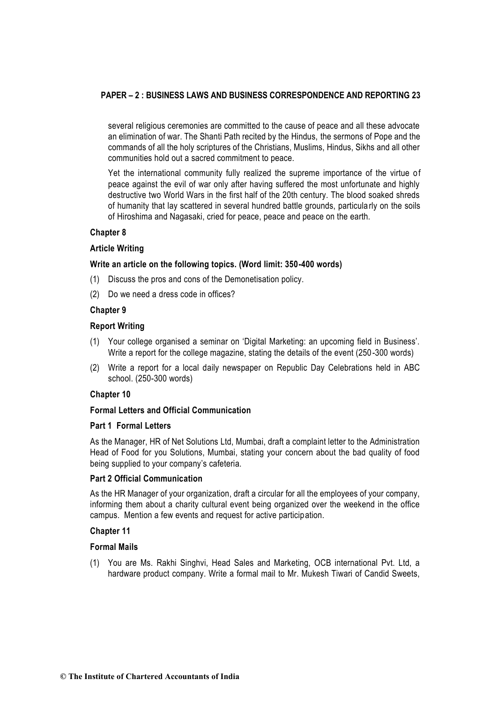several religious ceremonies are committed to the cause of peace and all these advocate an elimination of war. The Shanti Path recited by the Hindus, the sermons of Pope and the commands of all the holy scriptures of the Christians, Muslims, Hindus, Sikhs and all other communities hold out a sacred commitment to peace.

Yet the international community fully realized the supreme importance of the virtue of peace against the evil of war only after having suffered the most unfortunate and highly destructive two World Wars in the first half of the 20th century. The blood soaked shreds of humanity that lay scattered in several hundred battle grounds, particularly on the soils of Hiroshima and Nagasaki, cried for peace, peace and peace on the earth.

#### **Chapter 8**

#### **Article Writing**

#### **Write an article on the following topics. (Word limit: 350-400 words)**

- (1) Discuss the pros and cons of the Demonetisation policy.
- (2) Do we need a dress code in offices?

#### **Chapter 9**

## **Report Writing**

- (1) Your college organised a seminar on 'Digital Marketing: an upcoming field in Business'. Write a report for the college magazine, stating the details of the event (250 -300 words)
- (2) Write a report for a local daily newspaper on Republic Day Celebrations held in ABC school. (250-300 words)

#### **Chapter 10**

#### **Formal Letters and Official Communication**

#### **Part 1 Formal Letters**

As the Manager, HR of Net Solutions Ltd, Mumbai, draft a complaint letter to the Administration Head of Food for you Solutions, Mumbai, stating your concern about the bad quality of food being supplied to your company's cafeteria.

#### **Part 2 Official Communication**

As the HR Manager of your organization, draft a circular for all the employees of your company, informing them about a charity cultural event being organized over the weekend in the office campus. Mention a few events and request for active participation.

#### **Chapter 11**

#### **Formal Mails**

(1) You are Ms. Rakhi Singhvi, Head Sales and Marketing, OCB international Pvt. Ltd, a hardware product company. Write a formal mail to Mr. Mukesh Tiwari of Candid Sweets,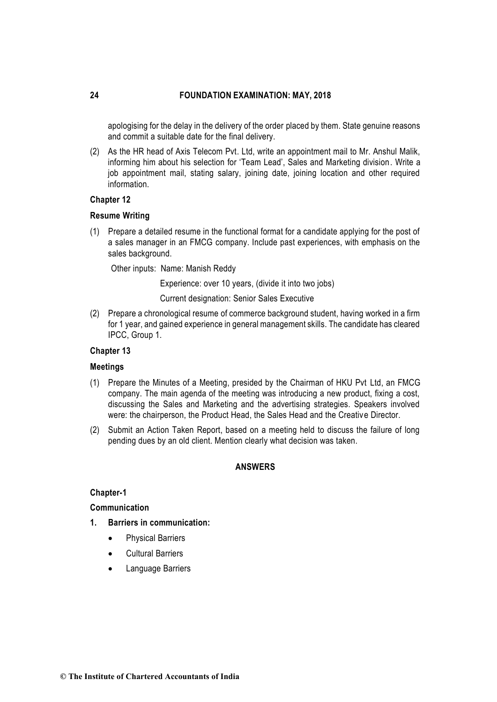apologising for the delay in the delivery of the order placed by them. State genuine reasons and commit a suitable date for the final delivery.

(2) As the HR head of Axis Telecom Pvt. Ltd, write an appointment mail to Mr. Anshul Malik, informing him about his selection for 'Team Lead', Sales and Marketing division. Write a job appointment mail, stating salary, joining date, joining location and other required information.

#### **Chapter 12**

#### **Resume Writing**

(1) Prepare a detailed resume in the functional format for a candidate applying for the post of a sales manager in an FMCG company. Include past experiences, with emphasis on the sales background.

Other inputs: Name: Manish Reddy

Experience: over 10 years, (divide it into two jobs)

Current designation: Senior Sales Executive

(2) Prepare a chronological resume of commerce background student, having worked in a firm for 1 year, and gained experience in general management skills. The candidate has cleared IPCC, Group 1.

#### **Chapter 13**

#### **Meetings**

- (1) Prepare the Minutes of a Meeting, presided by the Chairman of HKU Pvt Ltd, an FMCG company. The main agenda of the meeting was introducing a new product, fixing a cost, discussing the Sales and Marketing and the advertising strategies. Speakers involved were: the chairperson, the Product Head, the Sales Head and the Creative Director.
- (2) Submit an Action Taken Report, based on a meeting held to discuss the failure of long pending dues by an old client. Mention clearly what decision was taken.

#### **ANSWERS**

#### **Chapter-1**

#### **Communication**

- **1. Barriers in communication:**
	- Physical Barriers
	- Cultural Barriers
	- Language Barriers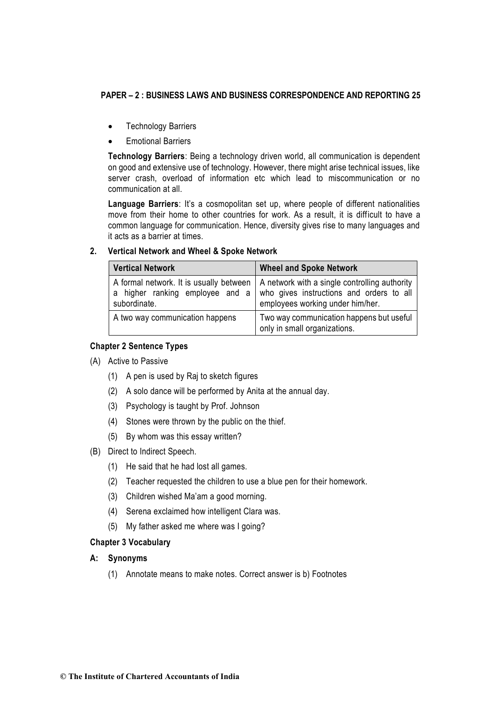- Technology Barriers
- Emotional Barriers

**Technology Barriers**: Being a technology driven world, all communication is dependent on good and extensive use of technology. However, there might arise technical issues, like server crash, overload of information etc which lead to miscommunication or no communication at all.

Language Barriers: It's a cosmopolitan set up, where people of different nationalities move from their home to other countries for work. As a result, it is difficult to have a common language for communication. Hence, diversity gives rise to many languages and it acts as a barrier at times.

## **2. Vertical Network and Wheel & Spoke Network**

| <b>Vertical Network</b>                         | <b>Wheel and Spoke Network</b>                                                                                                                                          |  |  |
|-------------------------------------------------|-------------------------------------------------------------------------------------------------------------------------------------------------------------------------|--|--|
| a higher ranking employee and a<br>subordinate. | A formal network. It is usually between   A network with a single controlling authority<br>who gives instructions and orders to all<br>employees working under him/her. |  |  |
| A two way communication happens                 | Two way communication happens but useful<br>only in small organizations.                                                                                                |  |  |

## **Chapter 2 Sentence Types**

- (A) Active to Passive
	- (1) A pen is used by Raj to sketch figures
	- (2) A solo dance will be performed by Anita at the annual day.
	- (3) Psychology is taught by Prof. Johnson
	- (4) Stones were thrown by the public on the thief.
	- (5) By whom was this essay written?
- (B) Direct to Indirect Speech.
	- (1) He said that he had lost all games.
	- (2) Teacher requested the children to use a blue pen for their homework.
	- (3) Children wished Ma'am a good morning.
	- (4) Serena exclaimed how intelligent Clara was.
	- (5) My father asked me where was I going?

## **Chapter 3 Vocabulary**

## **A: Synonyms**

(1) Annotate means to make notes. Correct answer is b) Footnotes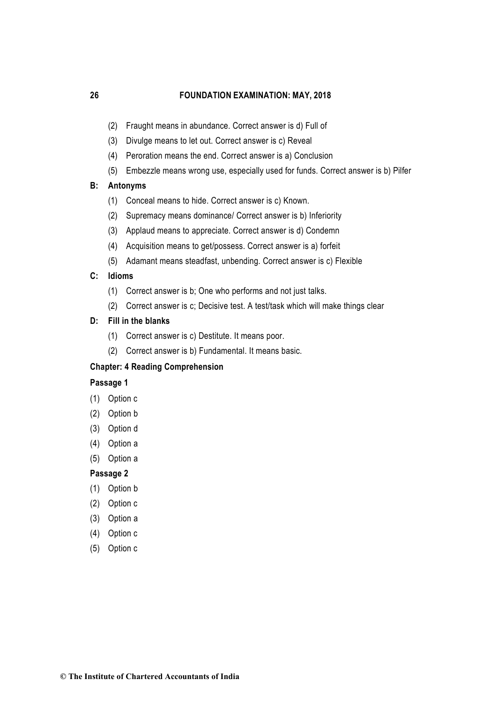- (2) Fraught means in abundance. Correct answer is d) Full of
- (3) Divulge means to let out. Correct answer is c) Reveal
- (4) Peroration means the end. Correct answer is a) Conclusion
- (5) Embezzle means wrong use, especially used for funds. Correct answer is b) Pilfer

#### **B: Antonyms**

- (1) Conceal means to hide. Correct answer is c) Known.
- (2) Supremacy means dominance/ Correct answer is b) Inferiority
- (3) Applaud means to appreciate. Correct answer is d) Condemn
- (4) Acquisition means to get/possess. Correct answer is a) forfeit
- (5) Adamant means steadfast, unbending. Correct answer is c) Flexible

#### **C: Idioms**

- (1) Correct answer is b; One who performs and not just talks.
- (2) Correct answer is c; Decisive test. A test/task which will make things clear

#### **D: Fill in the blanks**

- (1) Correct answer is c) Destitute. It means poor.
- (2) Correct answer is b) Fundamental. It means basic.

#### **Chapter: 4 Reading Comprehension**

## **Passage 1**

- (1) Option c
- (2) Option b
- (3) Option d
- (4) Option a
- (5) Option a

#### **Passage 2**

- (1) Option b
- (2) Option c
- (3) Option a
- (4) Option c
- (5) Option c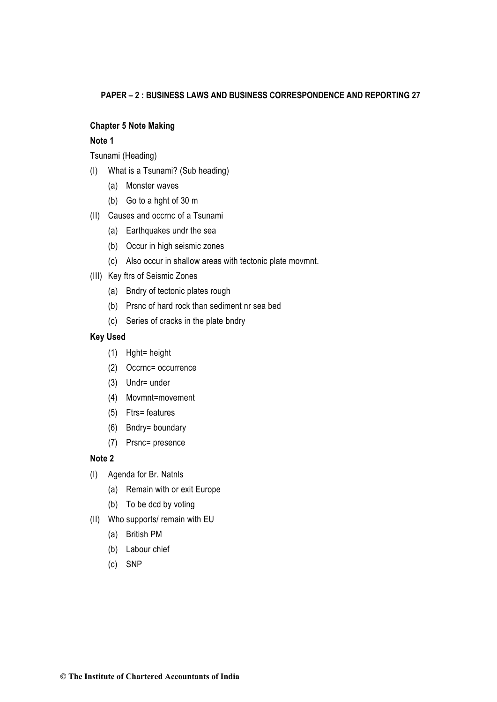## **Chapter 5 Note Making**

## **Note 1**

Tsunami (Heading)

- (I) What is a Tsunami? (Sub heading)
	- (a) Monster waves
	- (b) Go to a hght of 30 m
- (II) Causes and occrnc of a Tsunami
	- (a) Earthquakes undr the sea
	- (b) Occur in high seismic zones
	- (c) Also occur in shallow areas with tectonic plate movmnt.
- (III) Key ftrs of Seismic Zones
	- (a) Bndry of tectonic plates rough
	- (b) Prsnc of hard rock than sediment nr sea bed
	- (c) Series of cracks in the plate bndry

## **Key Used**

- (1) Hght= height
- (2) Occrnc= occurrence
- (3) Undr= under
- (4) Movmnt=movement
- (5) Ftrs= features
- (6) Bndry= boundary
- (7) Prsnc= presence

## **Note 2**

- (I) Agenda for Br. Natnls
	- (a) Remain with or exit Europe
	- (b) To be dcd by voting
- (II) Who supports/ remain with EU
	- (a) British PM
	- (b) Labour chief
	- (c) SNP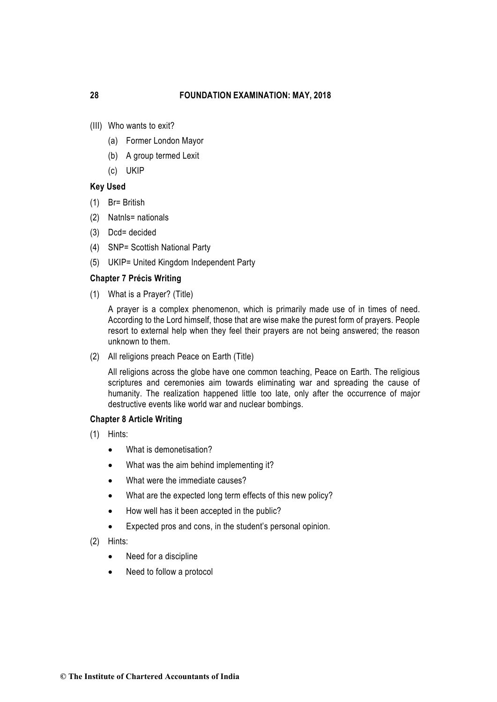- (III) Who wants to exit?
	- (a) Former London Mayor
	- (b) A group termed Lexit
	- (c) UKIP

## **Key Used**

- (1) Br= British
- (2) Natnls= nationals
- (3) Dcd= decided
- (4) SNP= Scottish National Party
- (5) UKIP= United Kingdom Independent Party

#### **Chapter 7 Précis Writing**

(1) What is a Prayer? (Title)

A prayer is a complex phenomenon, which is primarily made use of in times of need. According to the Lord himself, those that are wise make the purest form of prayers. People resort to external help when they feel their prayers are not being answered; the reason unknown to them.

(2) All religions preach Peace on Earth (Title)

All religions across the globe have one common teaching, Peace on Earth. The religious scriptures and ceremonies aim towards eliminating war and spreading the cause of humanity. The realization happened little too late, only after the occurrence of major destructive events like world war and nuclear bombings.

#### **Chapter 8 Article Writing**

- (1) Hints:
	- What is demonetisation?
	- What was the aim behind implementing it?
	- What were the immediate causes?
	- What are the expected long term effects of this new policy?
	- How well has it been accepted in the public?
	- Expected pros and cons, in the student's personal opinion.
- (2) Hints:
	- Need for a discipline
	- Need to follow a protocol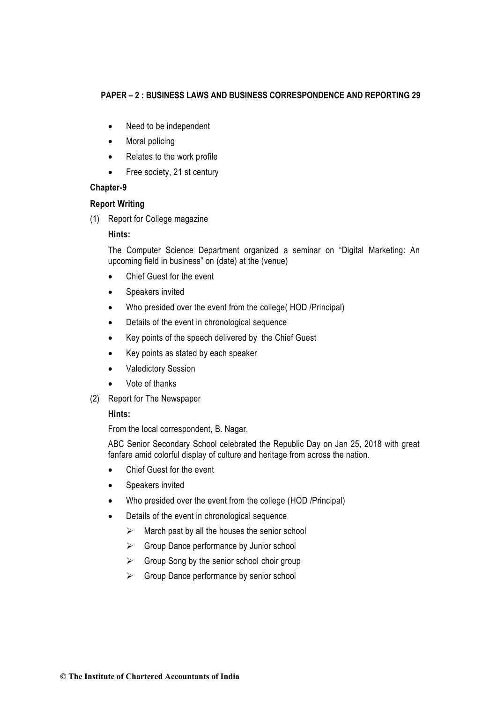- Need to be independent
- Moral policing
- Relates to the work profile
- Free society, 21 st century

## **Chapter-9**

## **Report Writing**

(1) Report for College magazine

## **Hints:**

The Computer Science Department organized a seminar on "Digital Marketing: An upcoming field in business" on (date) at the (venue)

- Chief Guest for the event
- Speakers invited
- Who presided over the event from the college( HOD /Principal)
- Details of the event in chronological sequence
- Key points of the speech delivered by the Chief Guest
- Key points as stated by each speaker
- Valedictory Session
- Vote of thanks
- (2) Report for The Newspaper

## **Hints:**

From the local correspondent, B. Nagar,

ABC Senior Secondary School celebrated the Republic Day on Jan 25, 2018 with great fanfare amid colorful display of culture and heritage from across the nation.

- Chief Guest for the event
- Speakers invited
- Who presided over the event from the college (HOD /Principal)
- Details of the event in chronological sequence
	- $\triangleright$  March past by all the houses the senior school
	- ▶ Group Dance performance by Junior school
	- $\triangleright$  Group Song by the senior school choir group
	- ▶ Group Dance performance by senior school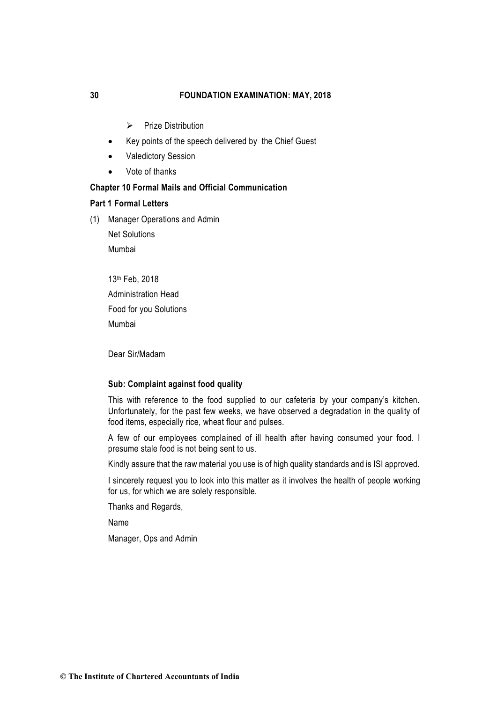- $\triangleright$  Prize Distribution
- Key points of the speech delivered by the Chief Guest
- Valedictory Session
- Vote of thanks

# **Chapter 10 Formal Mails and Official Communication**

#### **Part 1 Formal Letters**

(1) Manager Operations and Admin

Net Solutions Mumbai

13th Feb, 2018 Administration Head Food for you Solutions Mumbai

Dear Sir/Madam

#### **Sub: Complaint against food quality**

This with reference to the food supplied to our cafeteria by your company's kitchen. Unfortunately, for the past few weeks, we have observed a degradation in the quality of food items, especially rice, wheat flour and pulses.

A few of our employees complained of ill health after having consumed your food. I presume stale food is not being sent to us.

Kindly assure that the raw material you use is of high quality standards and is ISI approved.

I sincerely request you to look into this matter as it involves the health of people working for us, for which we are solely responsible.

Thanks and Regards,

Name

Manager, Ops and Admin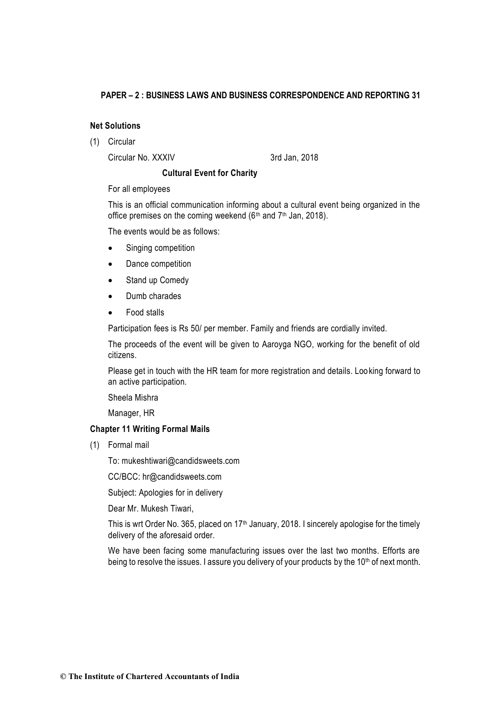## **Net Solutions**

(1) Circular

Circular No. XXXIV 3rd Jan, 2018

## **Cultural Event for Charity**

For all employees

This is an official communication informing about a cultural event being organized in the office premises on the coming weekend  $(6<sup>th</sup>$  and  $7<sup>th</sup>$  Jan, 2018).

The events would be as follows:

- Singing competition
- Dance competition
- Stand up Comedy
- Dumb charades
- Food stalls

Participation fees is Rs 50/ per member. Family and friends are cordially invited.

The proceeds of the event will be given to Aaroyga NGO, working for the benefit of old citizens.

Please get in touch with the HR team for more registration and details. Looking forward to an active participation.

Sheela Mishra

Manager, HR

#### **Chapter 11 Writing Formal Mails**

(1) Formal mail

To: mukeshtiwari@candidsweets.com

CC/BCC: hr@candidsweets.com

Subject: Apologies for in delivery

Dear Mr. Mukesh Tiwari,

This is wrt Order No. 365, placed on 17<sup>th</sup> January, 2018. I sincerely apologise for the timely delivery of the aforesaid order.

We have been facing some manufacturing issues over the last two months. Efforts are being to resolve the issues. I assure you delivery of your products by the 10<sup>th</sup> of next month.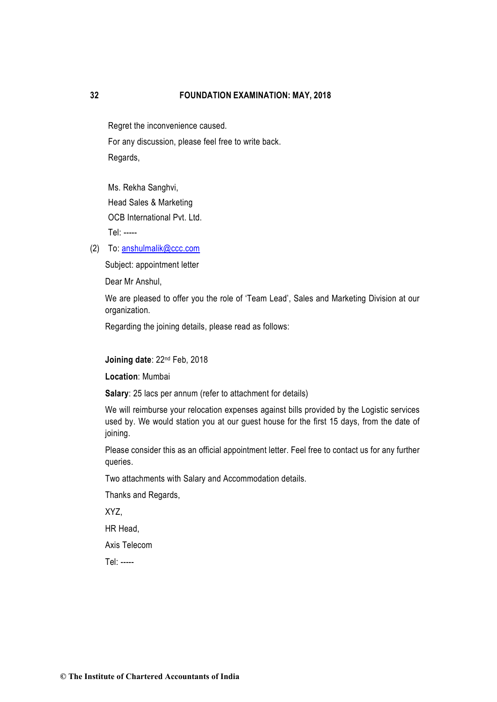Regret the inconvenience caused. For any discussion, please feel free to write back. Regards,

Ms. Rekha Sanghvi, Head Sales & Marketing OCB International Pvt. Ltd. Tel: -----

(2) To: [anshulmalik@ccc.com](mailto:anshulmalik@ccc.com)

Subject: appointment letter

Dear Mr Anshul,

We are pleased to offer you the role of 'Team Lead', Sales and Marketing Division at our organization.

Regarding the joining details, please read as follows:

**Joining date**: 22nd Feb, 2018

**Location**: Mumbai

**Salary**: 25 lacs per annum (refer to attachment for details)

We will reimburse your relocation expenses against bills provided by the Logistic services used by. We would station you at our guest house for the first 15 days, from the date of joining.

Please consider this as an official appointment letter. Feel free to contact us for any further queries.

Two attachments with Salary and Accommodation details.

Thanks and Regards,

XYZ,

HR Head,

Axis Telecom

Tel: -----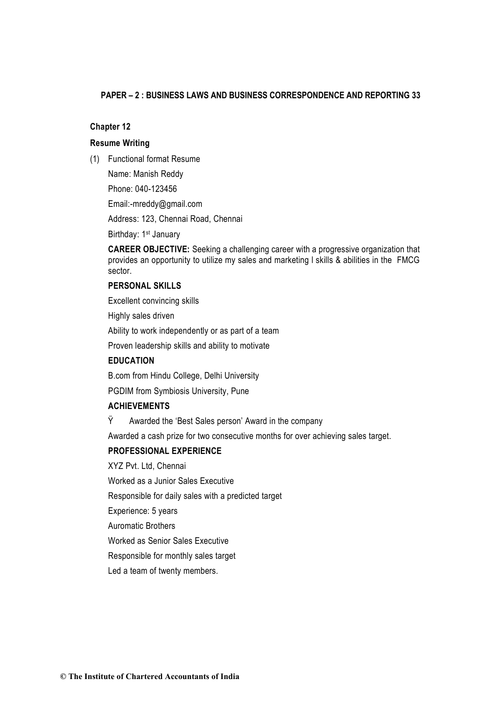## **Chapter 12**

#### **Resume Writing**

(1) Functional format Resume

Name: Manish Reddy

Phone: 040-123456

Email:-mreddy@gmail.com

Address: 123, Chennai Road, Chennai

Birthday: 1<sup>st</sup> January

**CAREER OBJECTIVE:** Seeking a challenging career with a progressive organization that provides an opportunity to utilize my sales and marketing l skills & abilities in the FMCG sector.

## **PERSONAL SKILLS**

Excellent convincing skills

Highly sales driven

Ability to work independently or as part of a team

Proven leadership skills and ability to motivate

## **EDUCATION**

B.com from Hindu College, Delhi University

PGDIM from Symbiosis University, Pune

## **ACHIEVEMENTS**

Ÿ Awarded the 'Best Sales person' Award in the company

Awarded a cash prize for two consecutive months for over achieving sales target.

## **PROFESSIONAL EXPERIENCE**

XYZ Pvt. Ltd, Chennai

Worked as a Junior Sales Executive

Responsible for daily sales with a predicted target

Experience: 5 years

Auromatic Brothers

Worked as Senior Sales Executive

Responsible for monthly sales target

Led a team of twenty members.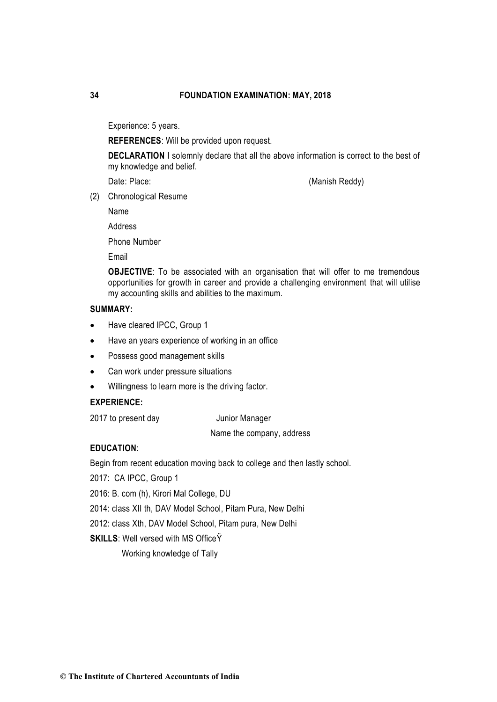Experience: 5 years.

**REFERENCES**: Will be provided upon request.

**DECLARATION** I solemnly declare that all the above information is correct to the best of my knowledge and belief.

Date: Place: (Manish Reddy)

(2) Chronological Resume

Name

Address

Phone Number

Email

**OBJECTIVE**: To be associated with an organisation that will offer to me tremendous opportunities for growth in career and provide a challenging environment that will utilise my accounting skills and abilities to the maximum.

## **SUMMARY:**

- Have cleared IPCC, Group 1
- Have an years experience of working in an office
- Possess good management skills
- Can work under pressure situations
- Willingness to learn more is the driving factor.

# **EXPERIENCE:**

2017 to present day Junior Manager

Name the company, address

## **EDUCATION**:

Begin from recent education moving back to college and then lastly school.

- 2017: CA IPCC, Group 1
- 2016: B. com (h), Kirori Mal College, DU
- 2014: class XII th, DAV Model School, Pitam Pura, New Delhi
- 2012: class Xth, DAV Model School, Pitam pura, New Delhi
- **SKILLS:** Well versed with MS Office Y

Working knowledge of Tally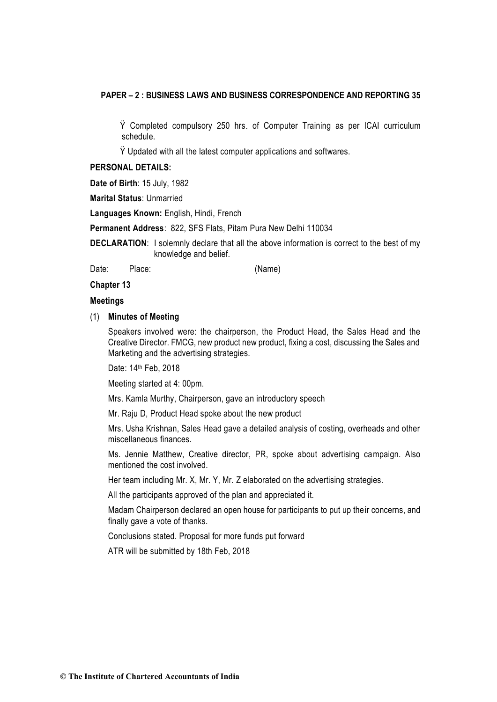Ÿ Completed compulsory 250 hrs. of Computer Training as per ICAI curriculum schedule.

Ÿ Updated with all the latest computer applications and softwares.

#### **PERSONAL DETAILS:**

**Date of Birth**: 15 July, 1982

**Marital Status**: Unmarried

**Languages Known:** English, Hindi, French

**Permanent Address**: 822, SFS Flats, Pitam Pura New Delhi 110034

**DECLARATION**: I solemnly declare that all the above information is correct to the best of my knowledge and belief.

Date: Place: (Name)

**Chapter 13** 

#### **Meetings**

#### (1) **Minutes of Meeting**

Speakers involved were: the chairperson, the Product Head, the Sales Head and the Creative Director. FMCG, new product new product, fixing a cost, discussing the Sales and Marketing and the advertising strategies.

Date: 14th Feb, 2018

Meeting started at 4: 00pm.

Mrs. Kamla Murthy, Chairperson, gave an introductory speech

Mr. Raju D, Product Head spoke about the new product

Mrs. Usha Krishnan, Sales Head gave a detailed analysis of costing, overheads and other miscellaneous finances.

Ms. Jennie Matthew, Creative director, PR, spoke about advertising campaign. Also mentioned the cost involved.

Her team including Mr. X, Mr. Y, Mr. Z elaborated on the advertising strategies.

All the participants approved of the plan and appreciated it.

Madam Chairperson declared an open house for participants to put up their concerns, and finally gave a vote of thanks.

Conclusions stated. Proposal for more funds put forward

ATR will be submitted by 18th Feb, 2018